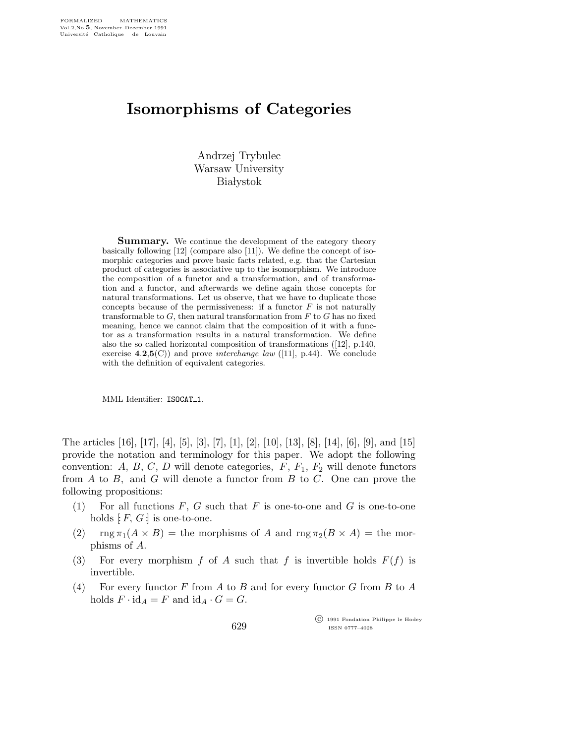## Isomorphisms of Categories

Andrzej Trybulec Warsaw University **Białystok** 

**Summary.** We continue the development of the category theory basically following [12] (compare also [11]). We define the concept of isomorphic categories and prove basic facts related, e.g. that the Cartesian product of categories is associative up to the isomorphism. We introduce the composition of a functor and a transformation, and of transformation and a functor, and afterwards we define again those concepts for natural transformations. Let us observe, that we have to duplicate those concepts because of the permissiveness: if a functor  $F$  is not naturally transformable to  $G$ , then natural transformation from  $F$  to  $G$  has no fixed meaning, hence we cannot claim that the composition of it with a functor as a transformation results in a natural transformation. We define also the so called horizontal composition of transformations ([12], p.140, exercise  $4.2,5(C)$  and prove *interchange law* ([11], p.44). We conclude with the definition of equivalent categories.

MML Identifier: ISOCAT 1.

The articles [16], [17], [4], [5], [3], [7], [1], [2], [10], [13], [8], [14], [6], [9], and [15] provide the notation and terminology for this paper. We adopt the following convention: A, B, C, D will denote categories,  $F$ ,  $F_1$ ,  $F_2$  will denote functors from  $A$  to  $B$ , and  $G$  will denote a functor from  $B$  to  $C$ . One can prove the following propositions:

- (1) For all functions  $F, G$  such that  $F$  is one-to-one and  $G$  is one-to-one holds  $F, G$  is one-to-one.
- (2)  $\text{rng } \pi_1(A \times B) = \text{the morphisms of } A \text{ and } \text{rng } \pi_2(B \times A) = \text{the mor$ phisms of A.
- (3) For every morphism f of A such that f is invertible holds  $F(f)$  is invertible.
- (4) For every functor F from A to B and for every functor G from B to A holds  $F \cdot id_A = F$  and  $id_A \cdot G = G$ .

 c 1991 Fondation Philippe le Hodey ISSN 0777–4028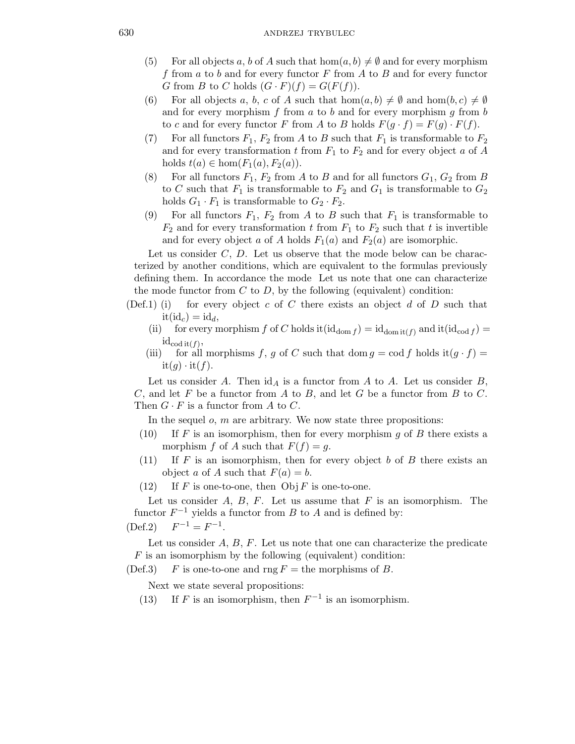- (5) For all objects a, b of A such that  $hom(a, b) \neq \emptyset$  and for every morphism f from  $a$  to  $b$  and for every functor  $F$  from  $A$  to  $B$  and for every functor G from B to C holds  $(G \cdot F)(f) = G(F(f)).$
- (6) For all objects a, b, c of A such that  $hom(a, b) \neq \emptyset$  and  $hom(b, c) \neq \emptyset$ and for every morphism  $f$  from  $a$  to  $b$  and for every morphism  $g$  from  $b$ to c and for every functor F from A to B holds  $F(q \cdot f) = F(q) \cdot F(f)$ .
- (7) For all functors  $F_1$ ,  $F_2$  from A to B such that  $F_1$  is transformable to  $F_2$ and for every transformation t from  $F_1$  to  $F_2$  and for every object a of A holds  $t(a) \in \text{hom}(F_1(a), F_2(a))$ .
- (8) For all functors  $F_1$ ,  $F_2$  from A to B and for all functors  $G_1$ ,  $G_2$  from B to C such that  $F_1$  is transformable to  $F_2$  and  $G_1$  is transformable to  $G_2$ holds  $G_1 \cdot F_1$  is transformable to  $G_2 \cdot F_2$ .
- (9) For all functors  $F_1$ ,  $F_2$  from A to B such that  $F_1$  is transformable to  $F_2$  and for every transformation t from  $F_1$  to  $F_2$  such that t is invertible and for every object a of A holds  $F_1(a)$  and  $F_2(a)$  are isomorphic.

Let us consider  $C, D$ . Let us observe that the mode below can be characterized by another conditions, which are equivalent to the formulas previously defining them. In accordance the mode Let us note that one can characterize the mode functor from  $C$  to  $D$ , by the following (equivalent) condition:

- (Def.1) (i) for every object c of C there exists an object d of D such that  $it(id<sub>c</sub>) = id<sub>d</sub>$ 
	- (ii) for every morphism f of C holds it  $(id_{dom } f) = id_{dom }$ <sub>it</sub>(f) and it  $(id_{cod } f)$  =  $id_{\text{cod it}(f)},$
	- (iii) for all morphisms f, g of C such that dom  $g = \text{cod } f$  holds it $(g \cdot f) =$  $it(q) \cdot it(f).$

Let us consider A. Then  $\mathrm{id}_A$  is a functor from A to A. Let us consider B,  $C$ , and let  $F$  be a functor from  $A$  to  $B$ , and let  $G$  be a functor from  $B$  to  $C$ . Then  $G \cdot F$  is a functor from A to C.

In the sequel  $o$ ,  $m$  are arbitrary. We now state three propositions:

- (10) If F is an isomorphism, then for every morphism g of B there exists a morphism f of A such that  $F(f) = g$ .
- (11) If F is an isomorphism, then for every object b of B there exists an object a of A such that  $F(a) = b$ .
- (12) If F is one-to-one, then  $Obj F$  is one-to-one.

Let us consider  $A, B, F$ . Let us assume that  $F$  is an isomorphism. The functor  $F^{-1}$  yields a functor from B to A and is defined by:

$$
(\text{Def.2}) \quad F^{-1} = F^{-1}.
$$

Let us consider  $A, B, F$ . Let us note that one can characterize the predicate  $F$  is an isomorphism by the following (equivalent) condition:

(Def.3) F is one-to-one and rng  $F =$  the morphisms of B.

Next we state several propositions:

(13) If F is an isomorphism, then  $F^{-1}$  is an isomorphism.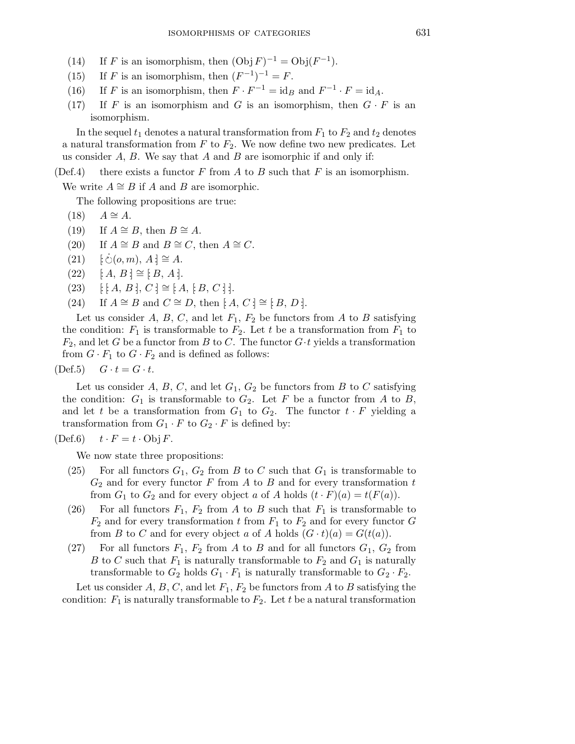- (14) If F is an isomorphism, then  $(\text{Obj } F)^{-1} = \text{Obj}(F^{-1})$ .
- (15) If F is an isomorphism, then  $(F^{-1})^{-1} = F$ .
- (16) If F is an isomorphism, then  $F \cdot F^{-1} = id_B$  and  $F^{-1} \cdot F = id_A$ .
- (17) If F is an isomorphism and G is an isomorphism, then  $G \cdot F$  is an isomorphism.

In the sequel  $t_1$  denotes a natural transformation from  $F_1$  to  $F_2$  and  $t_2$  denotes a natural transformation from  $F$  to  $F_2$ . We now define two new predicates. Let us consider  $A, B$ . We say that  $A$  and  $B$  are isomorphic if and only if:

(Def.4) there exists a functor F from A to B such that F is an isomorphism.

We write  $A \cong B$  if A and B are isomorphic.

The following propositions are true:

- $(18)$   $A \cong A$ .
- (19) If  $A \cong B$ , then  $B \cong A$ .
- (20) If  $A \cong B$  and  $B \cong C$ , then  $A \cong C$ .
- $(21)$  $\dot{\circ}(o, m), A \cdot \equiv A.$
- $(22)$  [: A, B :] ≅ [: B, A :].
- $(23)$  [: [: A, B :],  $C$  :]  $\cong$  [: A, [: B, C : ].
- (24) If  $A \cong B$  and  $C \cong D$ , then  $[A, C] \cong [B, D]$ .

Let us consider A, B, C, and let  $F_1$ ,  $F_2$  be functors from A to B satisfying the condition:  $F_1$  is transformable to  $F_2$ . Let t be a transformation from  $F_1$  to  $F_2$ , and let G be a functor from B to C. The functor  $G \cdot t$  yields a transformation from  $G \cdot F_1$  to  $G \cdot F_2$  and is defined as follows:

 $(Def.5)$   $G \cdot t = G \cdot t$ .

Let us consider A, B, C, and let  $G_1$ ,  $G_2$  be functors from B to C satisfying the condition:  $G_1$  is transformable to  $G_2$ . Let F be a functor from A to B, and let t be a transformation from  $G_1$  to  $G_2$ . The functor  $t \cdot F$  yielding a transformation from  $G_1 \cdot F$  to  $G_2 \cdot F$  is defined by:

$$
(Def.6) \t t \cdot F = t \cdot Obj F.
$$

We now state three propositions:

- (25) For all functors  $G_1, G_2$  from B to C such that  $G_1$  is transformable to  $G_2$  and for every functor F from A to B and for every transformation t from  $G_1$  to  $G_2$  and for every object a of A holds  $(t \cdot F)(a) = t(F(a))$ .
- (26) For all functors  $F_1$ ,  $F_2$  from A to B such that  $F_1$  is transformable to  $F_2$  and for every transformation t from  $F_1$  to  $F_2$  and for every functor G from B to C and for every object a of A holds  $(G \cdot t)(a) = G(t(a))$ .
- (27) For all functors  $F_1$ ,  $F_2$  from A to B and for all functors  $G_1$ ,  $G_2$  from B to C such that  $F_1$  is naturally transformable to  $F_2$  and  $G_1$  is naturally transformable to  $G_2$  holds  $G_1 \cdot F_1$  is naturally transformable to  $G_2 \cdot F_2$ .

Let us consider A, B, C, and let  $F_1$ ,  $F_2$  be functors from A to B satisfying the condition:  $F_1$  is naturally transformable to  $F_2$ . Let t be a natural transformation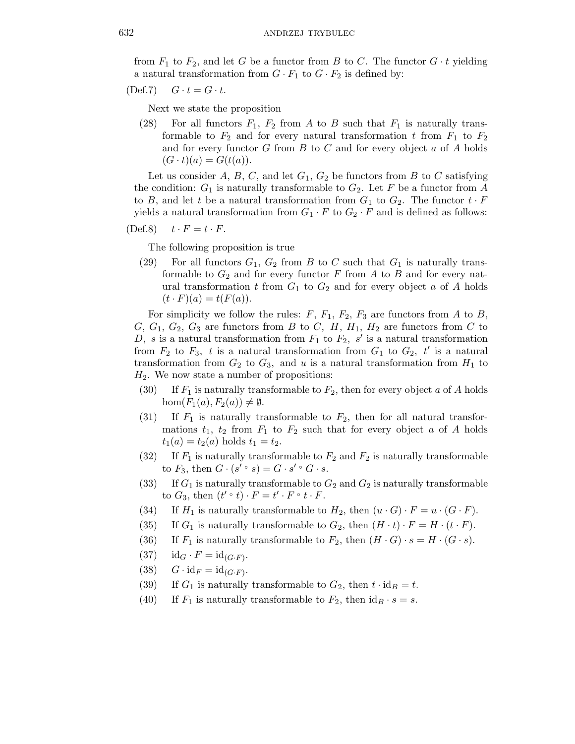from  $F_1$  to  $F_2$ , and let G be a functor from B to C. The functor  $G \cdot t$  yielding a natural transformation from  $G \cdot F_1$  to  $G \cdot F_2$  is defined by:

 $(\text{Def.7})$   $G \cdot t = G \cdot t$ .

Next we state the proposition

(28) For all functors  $F_1$ ,  $F_2$  from A to B such that  $F_1$  is naturally transformable to  $F_2$  and for every natural transformation t from  $F_1$  to  $F_2$ and for every functor  $G$  from  $B$  to  $C$  and for every object  $a$  of  $A$  holds  $(G \cdot t)(a) = G(t(a)).$ 

Let us consider A, B, C, and let  $G_1$ ,  $G_2$  be functors from B to C satisfying the condition:  $G_1$  is naturally transformable to  $G_2$ . Let F be a functor from A to B, and let t be a natural transformation from  $G_1$  to  $G_2$ . The functor  $t \cdot F$ yields a natural transformation from  $G_1 \cdot F$  to  $G_2 \cdot F$  and is defined as follows:

$$
(Def.8) \t t \cdot F = t \cdot F.
$$

The following proposition is true

(29) For all functors  $G_1$ ,  $G_2$  from B to C such that  $G_1$  is naturally transformable to  $G_2$  and for every functor F from A to B and for every natural transformation t from  $G_1$  to  $G_2$  and for every object a of A holds  $(t \cdot F)(a) = t(F(a)).$ 

For simplicity we follow the rules:  $F$ ,  $F_1$ ,  $F_2$ ,  $F_3$  are functors from A to B,  $G, G_1, G_2, G_3$  are functors from B to C, H,  $H_1, H_2$  are functors from C to D, s is a natural transformation from  $F_1$  to  $F_2$ , s' is a natural transformation from  $F_2$  to  $F_3$ , t is a natural transformation from  $G_1$  to  $G_2$ , t' is a natural transformation from  $G_2$  to  $G_3$ , and u is a natural transformation from  $H_1$  to  $H<sub>2</sub>$ . We now state a number of propositions:

- (30) If  $F_1$  is naturally transformable to  $F_2$ , then for every object a of A holds hom $(F_1(a), F_2(a)) \neq \emptyset$ .
- (31) If  $F_1$  is naturally transformable to  $F_2$ , then for all natural transformations  $t_1$ ,  $t_2$  from  $F_1$  to  $F_2$  such that for every object a of A holds  $t_1(a) = t_2(a)$  holds  $t_1 = t_2$ .
- (32) If  $F_1$  is naturally transformable to  $F_2$  and  $F_2$  is naturally transformable to  $F_3$ , then  $G \cdot (s' \circ s) = G \cdot s' \circ G \cdot s$ .
- (33) If  $G_1$  is naturally transformable to  $G_2$  and  $G_2$  is naturally transformable to  $G_3$ , then  $(t' \circ t) \cdot F = t' \cdot F \circ t \cdot F$ .
- (34) If  $H_1$  is naturally transformable to  $H_2$ , then  $(u \cdot G) \cdot F = u \cdot (G \cdot F)$ .
- (35) If  $G_1$  is naturally transformable to  $G_2$ , then  $(H \cdot t) \cdot F = H \cdot (t \cdot F)$ .
- (36) If  $F_1$  is naturally transformable to  $F_2$ , then  $(H \cdot G) \cdot s = H \cdot (G \cdot s)$ .
- (37)  $id_G \cdot F = id_{(G \cdot F)}$ .
- (38)  $G \cdot \mathrm{id}_F = \mathrm{id}_{(G \cdot F)}$ .
- (39) If  $G_1$  is naturally transformable to  $G_2$ , then  $t \cdot id_B = t$ .
- (40) If  $F_1$  is naturally transformable to  $F_2$ , then  $id_B \cdot s = s$ .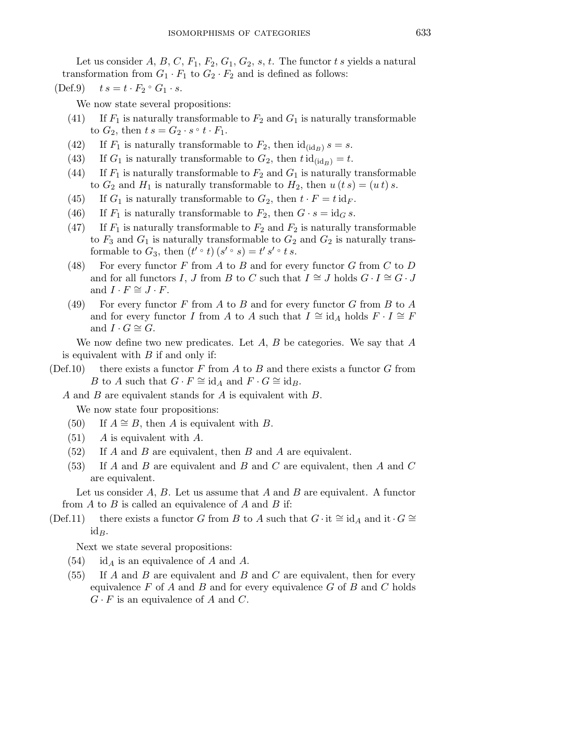Let us consider A, B, C,  $F_1$ ,  $F_2$ ,  $G_1$ ,  $G_2$ , s, t. The functor t s yields a natural transformation from  $G_1 \cdot F_1$  to  $G_2 \cdot F_2$  and is defined as follows:

(Def.9)  $t s = t \cdot F_2 \circ G_1 \cdot s$ .

We now state several propositions:

- (41) If  $F_1$  is naturally transformable to  $F_2$  and  $G_1$  is naturally transformable to  $G_2$ , then  $t s = G_2 \cdot s \circ t \cdot F_1$ .
- (42) If  $F_1$  is naturally transformable to  $F_2$ , then  $\mathrm{id}_{(\mathrm{id}_B)} s = s$ .
- (43) If  $G_1$  is naturally transformable to  $G_2$ , then  $t \mathrm{id}_{(\mathrm{id}_B)} = t$ .
- (44) If  $F_1$  is naturally transformable to  $F_2$  and  $G_1$  is naturally transformable to  $G_2$  and  $H_1$  is naturally transformable to  $H_2$ , then  $u(t s) = (u t) s$ .
- (45) If  $G_1$  is naturally transformable to  $G_2$ , then  $t \cdot F = t \cdot id_F$ .
- (46) If  $F_1$  is naturally transformable to  $F_2$ , then  $G \cdot s = id_G s$ .
- (47) If  $F_1$  is naturally transformable to  $F_2$  and  $F_2$  is naturally transformable to  $F_3$  and  $G_1$  is naturally transformable to  $G_2$  and  $G_2$  is naturally transformable to  $G_3$ , then  $(t' \circ t)(s' \circ s) = t' s' \circ t s$ .
- (48) For every functor F from A to B and for every functor G from C to D and for all functors I, J from B to C such that  $I \cong J$  holds  $G \cdot I \cong G \cdot J$ and  $I \cdot F \cong J \cdot F$ .
- (49) For every functor F from A to B and for every functor G from B to A and for every functor I from A to A such that  $I \cong id_A$  holds  $F \cdot I \cong F$ and  $I \cdot G \cong G$ .

We now define two new predicates. Let  $A, B$  be categories. We say that  $A$ is equivalent with  $B$  if and only if:

(Def.10) there exists a functor F from A to B and there exists a functor G from B to A such that  $G \cdot F \cong id_A$  and  $F \cdot G \cong id_B$ .

A and B are equivalent stands for A is equivalent with B.

We now state four propositions:

- (50) If  $A \cong B$ , then A is equivalent with B.
- $(51)$  A is equivalent with A.
- $(52)$  If A and B are equivalent, then B and A are equivalent.
- $(53)$  If A and B are equivalent and B and C are equivalent, then A and C are equivalent.

Let us consider  $A, B$ . Let us assume that  $A$  and  $B$  are equivalent. A functor from  $A$  to  $B$  is called an equivalence of  $A$  and  $B$  if:

(Def.11) there exists a functor G from B to A such that  $G \cdot it \cong id_A$  and it  $\cdot G \cong$  $id_B.$ 

Next we state several propositions:

- $(54)$  id<sub>A</sub> is an equivalence of A and A.
- $(55)$  If A and B are equivalent and B and C are equivalent, then for every equivalence  $F$  of  $A$  and  $B$  and for every equivalence  $G$  of  $B$  and  $C$  holds  $G \cdot F$  is an equivalence of A and C.